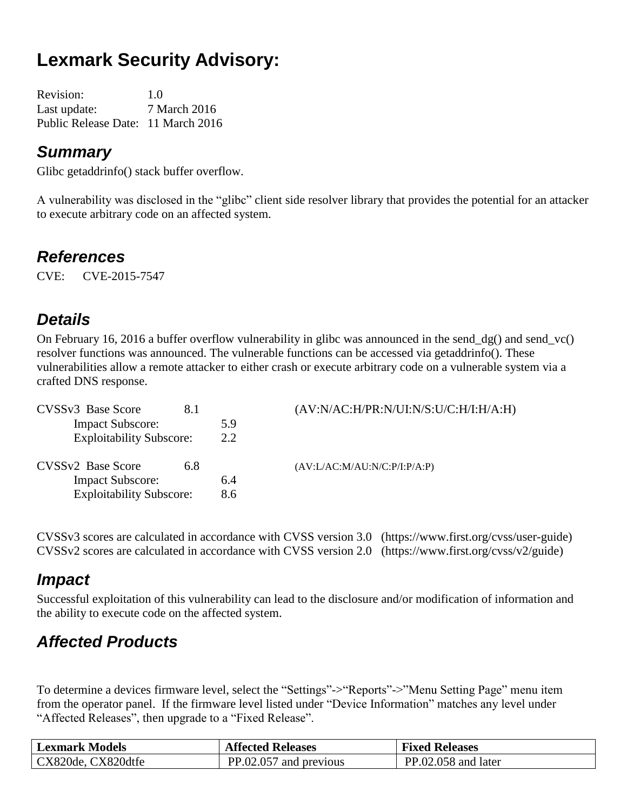# **Lexmark Security Advisory:**

| <b>Revision:</b>                   | 1.0          |
|------------------------------------|--------------|
| Last update:                       | 7 March 2016 |
| Public Release Date: 11 March 2016 |              |

#### *Summary*

Glibc getaddrinfo() stack buffer overflow.

A vulnerability was disclosed in the "glibc" client side resolver library that provides the potential for an attacker to execute arbitrary code on an affected system.

#### *References*

CVE: CVE-2015-7547

### *Details*

On February 16, 2016 a buffer overflow vulnerability in glibc was announced in the send\_dg() and send\_vc() resolver functions was announced. The vulnerable functions can be accessed via getaddrinfo(). These vulnerabilities allow a remote attacker to either crash or execute arbitrary code on a vulnerable system via a crafted DNS response.

| CVSS <sub>v3</sub> Base Score   | 8.1 |     | (AV:N/AC:H/PR:N/UI:N/S:U/C:H/I:H/A:H) |
|---------------------------------|-----|-----|---------------------------------------|
| <b>Impact Subscore:</b>         |     | 5.9 |                                       |
| <b>Exploitability Subscore:</b> |     | 2.2 |                                       |
| CVSSv2 Base Score               | 6.8 |     | (AV:L/AC:M/AU:N/C:P/I:P/A:P)          |
| <b>Impact Subscore:</b>         |     | 6.4 |                                       |
| <b>Exploitability Subscore:</b> |     | 8.6 |                                       |

CVSSv3 scores are calculated in accordance with CVSS version 3.0 (https://www.first.org/cvss/user-guide) CVSSv2 scores are calculated in accordance with CVSS version 2.0 (https://www.first.org/cvss/v2/guide)

#### *Impact*

Successful exploitation of this vulnerability can lead to the disclosure and/or modification of information and the ability to execute code on the affected system.

## *Affected Products*

To determine a devices firmware level, select the "Settings"->"Reports"->"Menu Setting Page" menu item from the operator panel. If the firmware level listed under "Device Information" matches any level under "Affected Releases", then upgrade to a "Fixed Release".

| <b>Lexmark Models</b> | <b>Affected Releases</b> | <b>Fixed Releases</b> |
|-----------------------|--------------------------|-----------------------|
| CX820de, CX820dtfe    | PP.02.057 and previous   | PP.02.058 and later   |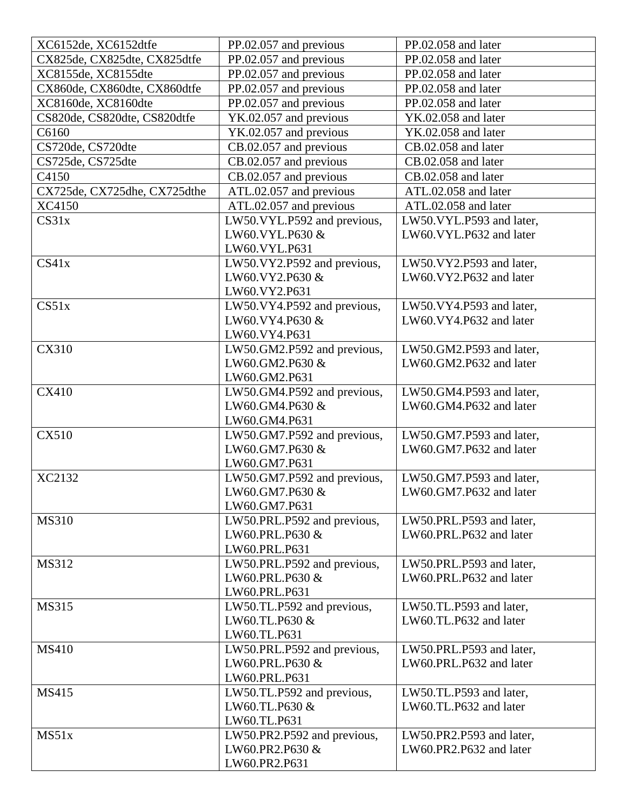| XC6152de, XC6152dtfe         | PP.02.057 and previous      | PP.02.058 and later      |
|------------------------------|-----------------------------|--------------------------|
| CX825de, CX825dte, CX825dtfe | PP.02.057 and previous      | PP.02.058 and later      |
| XC8155de, XC8155dte          | PP.02.057 and previous      | PP.02.058 and later      |
| CX860de, CX860dte, CX860dtfe | PP.02.057 and previous      | PP.02.058 and later      |
| XC8160de, XC8160dte          | PP.02.057 and previous      | PP.02.058 and later      |
| CS820de, CS820dte, CS820dtfe | YK.02.057 and previous      | YK.02.058 and later      |
| C6160                        | YK.02.057 and previous      | YK.02.058 and later      |
| CS720de, CS720dte            | CB.02.057 and previous      | CB.02.058 and later      |
| CS725de, CS725dte            | CB.02.057 and previous      | CB.02.058 and later      |
| C4150                        | CB.02.057 and previous      | CB.02.058 and later      |
| CX725de, CX725dhe, CX725dthe | ATL.02.057 and previous     | ATL.02.058 and later     |
| XC4150                       | ATL.02.057 and previous     | ATL.02.058 and later     |
| CS31x                        | LW50.VYL.P592 and previous, | LW50.VYL.P593 and later, |
|                              | LW60.VYL.P630 &             | LW60.VYL.P632 and later  |
|                              | LW60. VYL. P631             |                          |
| CS41x                        |                             |                          |
|                              | LW50.VY2.P592 and previous, | LW50.VY2.P593 and later, |
|                              | LW60.VY2.P630 &             | LW60.VY2.P632 and later  |
|                              | LW60.VY2.P631               |                          |
| CS51x                        | LW50.VY4.P592 and previous, | LW50.VY4.P593 and later, |
|                              | LW60.VY4.P630 &             | LW60.VY4.P632 and later  |
|                              | LW60.VY4.P631               |                          |
| <b>CX310</b>                 | LW50.GM2.P592 and previous, | LW50.GM2.P593 and later, |
|                              | LW60.GM2.P630 &             | LW60.GM2.P632 and later  |
|                              | LW60.GM2.P631               |                          |
| <b>CX410</b>                 | LW50.GM4.P592 and previous, | LW50.GM4.P593 and later, |
|                              | LW60.GM4.P630 &             | LW60.GM4.P632 and later  |
|                              | LW60.GM4.P631               |                          |
| <b>CX510</b>                 | LW50.GM7.P592 and previous, | LW50.GM7.P593 and later, |
|                              | LW60.GM7.P630 &             | LW60.GM7.P632 and later  |
|                              | LW60.GM7.P631               |                          |
| XC2132                       | LW50.GM7.P592 and previous, | LW50.GM7.P593 and later, |
|                              | LW60.GM7.P630 &             | LW60.GM7.P632 and later  |
|                              | LW60.GM7.P631               |                          |
| <b>MS310</b>                 | LW50.PRL.P592 and previous, | LW50.PRL.P593 and later, |
|                              | LW60.PRL.P630 &             | LW60.PRL.P632 and later  |
|                              | LW60.PRL.P631               |                          |
| MS312                        | LW50.PRL.P592 and previous, | LW50.PRL.P593 and later, |
|                              | LW60.PRL.P630 &             | LW60.PRL.P632 and later  |
|                              | LW60.PRL.P631               |                          |
| <b>MS315</b>                 | LW50.TL.P592 and previous,  | LW50.TL.P593 and later,  |
|                              | LW60.TL.P630 &              | LW60.TL.P632 and later   |
|                              | LW60.TL.P631                |                          |
| <b>MS410</b>                 | LW50.PRL.P592 and previous, | LW50.PRL.P593 and later, |
|                              | LW60.PRL.P630 &             | LW60.PRL.P632 and later  |
|                              | LW60.PRL.P631               |                          |
| <b>MS415</b>                 | LW50.TL.P592 and previous,  | LW50.TL.P593 and later,  |
|                              | LW60.TL.P630 &              | LW60.TL.P632 and later   |
|                              | LW60.TL.P631                |                          |
| MS51x                        | LW50.PR2.P592 and previous, | LW50.PR2.P593 and later, |
|                              | LW60.PR2.P630 &             | LW60.PR2.P632 and later  |
|                              | LW60.PR2.P631               |                          |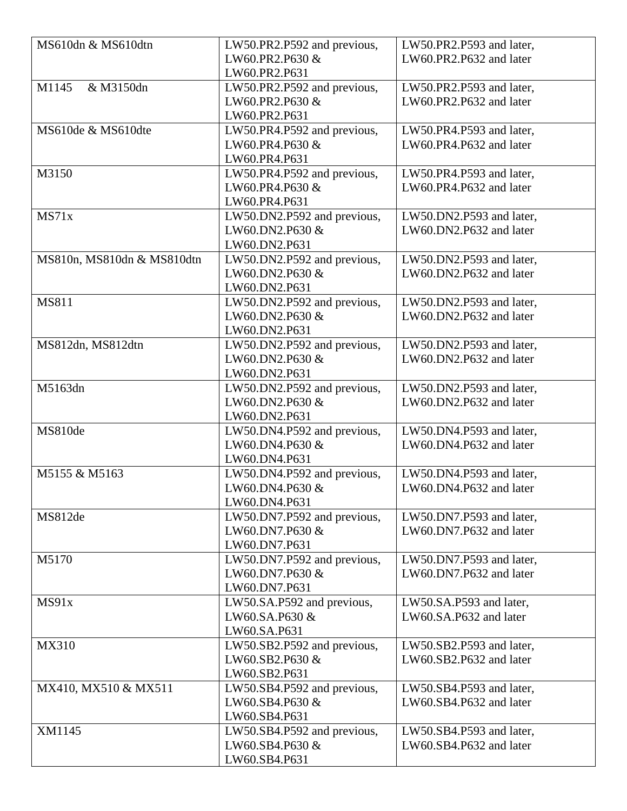| MS610dn & MS610dtn         | LW50.PR2.P592 and previous, | LW50.PR2.P593 and later, |
|----------------------------|-----------------------------|--------------------------|
|                            | LW60.PR2.P630 &             | LW60.PR2.P632 and later  |
|                            | LW60.PR2.P631               |                          |
| M1145<br>& M3150dn         | LW50.PR2.P592 and previous, | LW50.PR2.P593 and later, |
|                            | LW60.PR2.P630 &             | LW60.PR2.P632 and later  |
|                            | LW60.PR2.P631               |                          |
| MS610de & MS610dte         | LW50.PR4.P592 and previous, | LW50.PR4.P593 and later, |
|                            | LW60.PR4.P630 &             | LW60.PR4.P632 and later  |
|                            | LW60.PR4.P631               |                          |
| M3150                      | LW50.PR4.P592 and previous, | LW50.PR4.P593 and later, |
|                            | LW60.PR4.P630 &             | LW60.PR4.P632 and later  |
|                            | LW60.PR4.P631               |                          |
| MS71x                      | LW50.DN2.P592 and previous, | LW50.DN2.P593 and later, |
|                            | LW60.DN2.P630 &             | LW60.DN2.P632 and later  |
|                            | LW60.DN2.P631               |                          |
| MS810n, MS810dn & MS810dtn | LW50.DN2.P592 and previous, | LW50.DN2.P593 and later, |
|                            | LW60.DN2.P630 &             | LW60.DN2.P632 and later  |
|                            | LW60.DN2.P631               |                          |
| <b>MS811</b>               | LW50.DN2.P592 and previous, | LW50.DN2.P593 and later, |
|                            | LW60.DN2.P630 &             | LW60.DN2.P632 and later  |
|                            | LW60.DN2.P631               |                          |
| MS812dn, MS812dtn          | LW50.DN2.P592 and previous, | LW50.DN2.P593 and later, |
|                            | LW60.DN2.P630 &             | LW60.DN2.P632 and later  |
|                            | LW60.DN2.P631               |                          |
| M5163dn                    | LW50.DN2.P592 and previous, | LW50.DN2.P593 and later, |
|                            | LW60.DN2.P630 &             | LW60.DN2.P632 and later  |
|                            | LW60.DN2.P631               |                          |
| MS810de                    | LW50.DN4.P592 and previous, | LW50.DN4.P593 and later, |
|                            | LW60.DN4.P630 &             | LW60.DN4.P632 and later  |
|                            | LW60.DN4.P631               |                          |
| M5155 & M5163              | LW50.DN4.P592 and previous, | LW50.DN4.P593 and later, |
|                            | LW60.DN4.P630 &             | LW60.DN4.P632 and later  |
|                            | LW60.DN4.P631               |                          |
| MS812de                    | LW50.DN7.P592 and previous, | LW50.DN7.P593 and later, |
|                            | LW60.DN7.P630 &             | LW60.DN7.P632 and later  |
|                            | LW60.DN7.P631               |                          |
| M5170                      | LW50.DN7.P592 and previous, | LW50.DN7.P593 and later, |
|                            | LW60.DN7.P630 &             | LW60.DN7.P632 and later  |
|                            | LW60.DN7.P631               |                          |
| MS91x                      | LW50.SA.P592 and previous,  | LW50.SA.P593 and later,  |
|                            | LW60.SA.P630 &              | LW60.SA.P632 and later   |
|                            | LW60.SA.P631                |                          |
| MX310                      | LW50.SB2.P592 and previous, | LW50.SB2.P593 and later, |
|                            | LW60.SB2.P630 &             | LW60.SB2.P632 and later  |
|                            | LW60.SB2.P631               |                          |
| MX410, MX510 & MX511       | LW50.SB4.P592 and previous, | LW50.SB4.P593 and later, |
|                            | LW60.SB4.P630 &             | LW60.SB4.P632 and later  |
|                            | LW60.SB4.P631               |                          |
| XM1145                     | LW50.SB4.P592 and previous, | LW50.SB4.P593 and later, |
|                            | LW60.SB4.P630 &             | LW60.SB4.P632 and later  |
|                            | LW60.SB4.P631               |                          |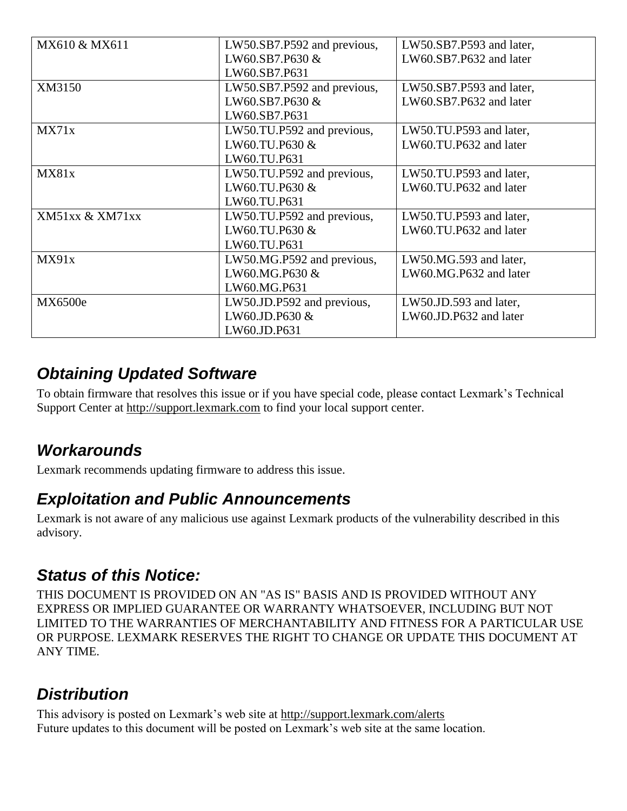| MX610 & MX611   | LW50.SB7.P592 and previous, | LW50.SB7.P593 and later, |
|-----------------|-----------------------------|--------------------------|
|                 | LW60.SB7.P630 &             | LW60.SB7.P632 and later  |
|                 | LW60.SB7.P631               |                          |
| XM3150          | LW50.SB7.P592 and previous, | LW50.SB7.P593 and later, |
|                 | LW60.SB7.P630 &             | LW60.SB7.P632 and later  |
|                 | LW60.SB7.P631               |                          |
| MX71x           | LW50.TU.P592 and previous,  | LW50.TU.P593 and later,  |
|                 | LW60.TU.P630 &              | LW60.TU.P632 and later   |
|                 | LW60.TU.P631                |                          |
| MX81x           | LW50.TU.P592 and previous,  | LW50.TU.P593 and later,  |
|                 | LW60.TU.P630 &              | LW60.TU.P632 and later   |
|                 | LW60.TU.P631                |                          |
| XM51xx & XM71xx | LW50.TU.P592 and previous,  | LW50.TU.P593 and later,  |
|                 | LW60.TU.P630 &              | LW60.TU.P632 and later   |
|                 | LW60.TU.P631                |                          |
| MX91x           | LW50.MG.P592 and previous,  | LW50.MG.593 and later,   |
|                 | LW60.MG.P630 &              | LW60.MG.P632 and later   |
|                 | LW60.MG.P631                |                          |
| MX6500e         | LW50.JD.P592 and previous,  | LW50.JD.593 and later,   |
|                 | LW60.JD.P630 &              | LW60.JD.P632 and later   |
|                 | LW60.JD.P631                |                          |

### *Obtaining Updated Software*

To obtain firmware that resolves this issue or if you have special code, please contact Lexmark's Technical Support Center at [http://support.lexmark.com](http://support.lexmark.com/) to find your local support center.

### *Workarounds*

Lexmark recommends updating firmware to address this issue.

#### *Exploitation and Public Announcements*

Lexmark is not aware of any malicious use against Lexmark products of the vulnerability described in this advisory.

#### *Status of this Notice:*

THIS DOCUMENT IS PROVIDED ON AN "AS IS" BASIS AND IS PROVIDED WITHOUT ANY EXPRESS OR IMPLIED GUARANTEE OR WARRANTY WHATSOEVER, INCLUDING BUT NOT LIMITED TO THE WARRANTIES OF MERCHANTABILITY AND FITNESS FOR A PARTICULAR USE OR PURPOSE. LEXMARK RESERVES THE RIGHT TO CHANGE OR UPDATE THIS DOCUMENT AT ANY TIME.

## *Distribution*

This advisory is posted on Lexmark's web site at<http://support.lexmark.com/alerts> Future updates to this document will be posted on Lexmark's web site at the same location.